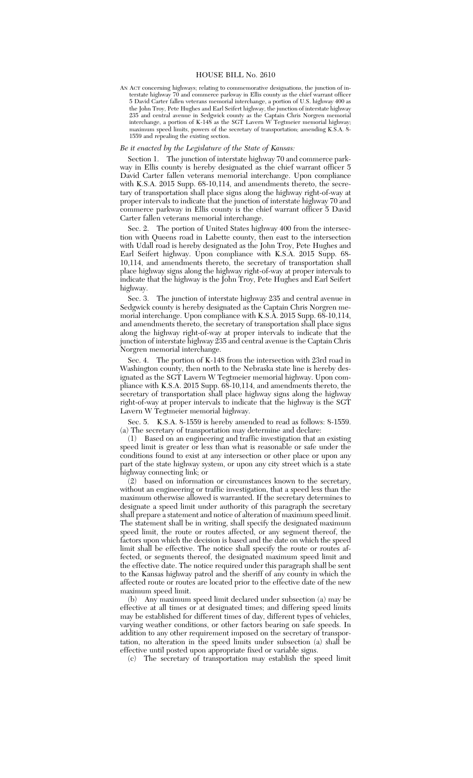## HOUSE BILL No. 2610

AN ACT concerning highways; relating to commemorative designations, the junction of interstate highway 70 and commerce parkway in Ellis county as the chief warrant officer 5 David Carter fallen veterans memorial interchange, a portion of U.S. highway 400 as the John Troy, Pete Hughes and Earl Seifert highway, the junction of interstate highway 235 and central avenue in Sedgwick county as the Captain Chris Norgren memorial interchange, a portion of K-148 as the SGT Lavern W Tegtmeier memorial highway; maximum speed limits, powers of the secretary of transportation; amending K.S.A. 8- 1559 and repealing the existing section.

## *Be it enacted by the Legislature of the State of Kansas:*

Section 1. The junction of interstate highway 70 and commerce parkway in Ellis county is hereby designated as the chief warrant officer 5 David Carter fallen veterans memorial interchange. Upon compliance with K.S.A. 2015 Supp. 68-10,114, and amendments thereto, the secretary of transportation shall place signs along the highway right-of-way at proper intervals to indicate that the junction of interstate highway 70 and commerce parkway in Ellis county is the chief warrant officer 5 David Carter fallen veterans memorial interchange.

Sec. 2. The portion of United States highway 400 from the intersection with Queens road in Labette county, then east to the intersection with Udall road is hereby designated as the John Troy, Pete Hughes and Earl Seifert highway. Upon compliance with K.S.A. 2015 Supp. 68- 10,114, and amendments thereto, the secretary of transportation shall place highway signs along the highway right-of-way at proper intervals to indicate that the highway is the John Troy, Pete Hughes and Earl Seifert highway.

Sec. 3. The junction of interstate highway 235 and central avenue in Sedgwick county is hereby designated as the Captain Chris Norgren memorial interchange. Upon compliance with K.S.A. 2015 Supp. 68-10,114, and amendments thereto, the secretary of transportation shall place signs along the highway right-of-way at proper intervals to indicate that the junction of interstate highway 235 and central avenue is the Captain Chris Norgren memorial interchange.

Sec. 4. The portion of K-148 from the intersection with 23rd road in Washington county, then north to the Nebraska state line is hereby designated as the SGT Lavern W Tegtmeier memorial highway. Upon compliance with K.S.A. 2015 Supp. 68-10,114, and amendments thereto, the secretary of transportation shall place highway signs along the highway right-of-way at proper intervals to indicate that the highway is the SGT Lavern W Tegtmeier memorial highway.

Sec. 5. K.S.A. 8-1559 is hereby amended to read as follows: 8-1559. (a) The secretary of transportation may determine and declare:

(1) Based on an engineering and traffic investigation that an existing speed limit is greater or less than what is reasonable or safe under the conditions found to exist at any intersection or other place or upon any part of the state highway system, or upon any city street which is a state highway connecting link; or

(2) based on information or circumstances known to the secretary, without an engineering or traffic investigation, that a speed less than the maximum otherwise allowed is warranted. If the secretary determines to designate a speed limit under authority of this paragraph the secretary shall prepare a statement and notice of alteration of maximum speed limit. The statement shall be in writing, shall specify the designated maximum speed limit, the route or routes affected, or any segment thereof, the factors upon which the decision is based and the date on which the speed limit shall be effective. The notice shall specify the route or routes affected, or segments thereof, the designated maximum speed limit and the effective date. The notice required under this paragraph shall be sent to the Kansas highway patrol and the sheriff of any county in which the affected route or routes are located prior to the effective date of the new maximum speed limit.

(b) Any maximum speed limit declared under subsection (a) may be effective at all times or at designated times; and differing speed limits may be established for different times of day, different types of vehicles, varying weather conditions, or other factors bearing on safe speeds. In addition to any other requirement imposed on the secretary of transportation, no alteration in the speed limits under subsection (a) shall be effective until posted upon appropriate fixed or variable signs.

(c) The secretary of transportation may establish the speed limit